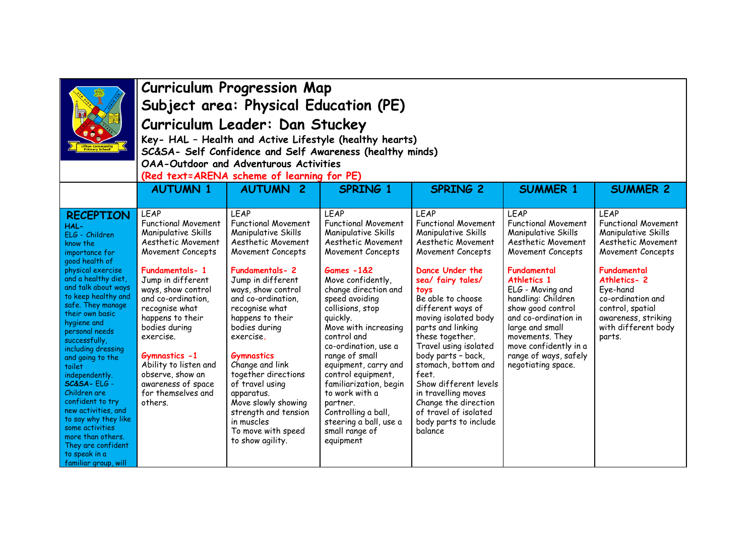|                                                                                                                                                                                                                                                                                                                                                                                                                                                                                                                                                              | <b>Curriculum Progression Map</b><br>Subject area: Physical Education (PE)<br>Curriculum Leader: Dan Stuckey<br>Key- HAL - Health and Active Lifestyle (healthy hearts)<br>SC&SA- Self Confidence and Self Awareness (healthy minds)<br>OAA-Outdoor and Adventurous Activities<br>(Red text=ARENA scheme of learning for PE)                                                            |                                                                                                                                                                                                                                                                                                                                                                                                                                                                    |                                                                                                                                                                                                                                                                                                                                                                                                                                                                                                            |                                                                                                                                                                                                                                                                                                                                                                                                                                                                                           |                                                                                                                                                                                                                                                                                                                                                |                                                                                                                                                                                                                                                        |
|--------------------------------------------------------------------------------------------------------------------------------------------------------------------------------------------------------------------------------------------------------------------------------------------------------------------------------------------------------------------------------------------------------------------------------------------------------------------------------------------------------------------------------------------------------------|-----------------------------------------------------------------------------------------------------------------------------------------------------------------------------------------------------------------------------------------------------------------------------------------------------------------------------------------------------------------------------------------|--------------------------------------------------------------------------------------------------------------------------------------------------------------------------------------------------------------------------------------------------------------------------------------------------------------------------------------------------------------------------------------------------------------------------------------------------------------------|------------------------------------------------------------------------------------------------------------------------------------------------------------------------------------------------------------------------------------------------------------------------------------------------------------------------------------------------------------------------------------------------------------------------------------------------------------------------------------------------------------|-------------------------------------------------------------------------------------------------------------------------------------------------------------------------------------------------------------------------------------------------------------------------------------------------------------------------------------------------------------------------------------------------------------------------------------------------------------------------------------------|------------------------------------------------------------------------------------------------------------------------------------------------------------------------------------------------------------------------------------------------------------------------------------------------------------------------------------------------|--------------------------------------------------------------------------------------------------------------------------------------------------------------------------------------------------------------------------------------------------------|
|                                                                                                                                                                                                                                                                                                                                                                                                                                                                                                                                                              | <b>AUTUMN 1</b>                                                                                                                                                                                                                                                                                                                                                                         | <b>AUTUMN 2</b>                                                                                                                                                                                                                                                                                                                                                                                                                                                    | <b>SPRING 1</b>                                                                                                                                                                                                                                                                                                                                                                                                                                                                                            | <b>SPRING 2</b>                                                                                                                                                                                                                                                                                                                                                                                                                                                                           | <b>SUMMER 1</b>                                                                                                                                                                                                                                                                                                                                | <b>SUMMER 2</b>                                                                                                                                                                                                                                        |
| <b>RECEPTION</b><br>HAL-<br>ELG - Children<br>know the<br>importance for<br>good health of<br>physical exercise<br>and a healthy diet,<br>and talk about ways<br>to keep healthy and<br>safe. They manage<br>their own basic<br>hygiene and<br>personal needs<br>successfully,<br>including dressing<br>and going to the<br>toilet<br>independently.<br>SC&SA-ELG-<br>Children are<br>confident to try<br>new activities, and<br>to say why they like<br>some activities<br>more than others.<br>They are confident<br>to speak in a<br>familiar group, will | <b>LEAP</b><br><b>Functional Movement</b><br>Manipulative Skills<br>Aesthetic Movement<br>Movement Concepts<br>Fundamentals-1<br>Jump in different<br>ways, show control<br>and co-ordination,<br>recognise what<br>happens to their<br>bodies during<br>exercise.<br>Gymnastics -1<br>Ability to listen and<br>observe, show an<br>awareness of space<br>for themselves and<br>others. | LEAP<br><b>Functional Movement</b><br>Manipulative Skills<br>Aesthetic Movement<br>Movement Concepts<br>Fundamentals-2<br>Jump in different<br>ways, show control<br>and co-ordination,<br>recognise what<br>happens to their<br>bodies during<br>exercise.<br><b>Gymnastics</b><br>Change and link<br>together directions<br>of travel using<br>apparatus.<br>Move slowly showing<br>strength and tension<br>in muscles<br>To move with speed<br>to show agility. | <b>LEAP</b><br><b>Functional Movement</b><br>Manipulative Skills<br>Aesthetic Movement<br>Movement Concepts<br><b>Games -1&amp;2</b><br>Move confidently,<br>change direction and<br>speed avoiding<br>collisions, stop<br>quickly.<br>Move with increasing<br>control and<br>co-ordination, use a<br>range of small<br>equipment, carry and<br>control equipment,<br>familiarization, begin<br>to work with a<br>partner.<br>Controlling a ball,<br>steering a ball, use a<br>small range of<br>equipment | <b>LEAP</b><br><b>Functional Movement</b><br>Manipulative Skills<br>Aesthetic Movement<br>Movement Concepts<br>Dance Under the<br>sea/ fairy tales/<br>toys<br>Be able to choose<br>different ways of<br>moving isolated body<br>parts and linking<br>these together.<br>Travel using isolated<br>body parts - back,<br>stomach, bottom and<br>feet.<br>Show different levels<br>in travelling moves<br>Change the direction<br>of travel of isolated<br>body parts to include<br>balance | <b>LEAP</b><br><b>Functional Movement</b><br>Manipulative Skills<br>Aesthetic Movement<br>Movement Concepts<br>Fundamental<br>Athletics 1<br>ELG - Moving and<br>handling: Children<br>show good control<br>and co-ordination in<br>large and small<br>movements. They<br>move confidently in a<br>range of ways, safely<br>negotiating space. | <b>LEAP</b><br><b>Functional Movement</b><br>Manipulative Skills<br>Aesthetic Movement<br>Movement Concepts<br>Fundamental<br>Athletics-2<br>Eye-hand<br>co-ordination and<br>control, spatial<br>awareness, striking<br>with different body<br>parts. |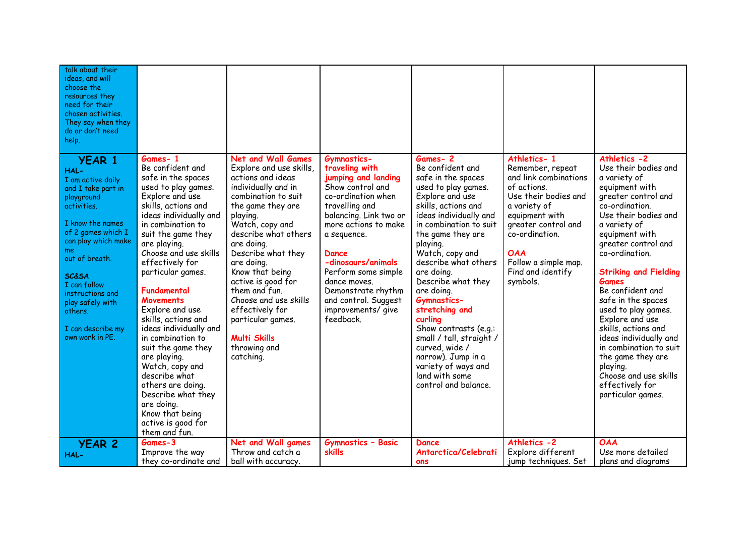| talk about their<br>ideas, and will<br>choose the<br>resources they<br>need for their<br>chosen activities.<br>They say when they<br>do or don't need<br>help.                                                                                                                                                         |                                                                                                                                                                                                                                                                                                                                                                                                                                                                                                                                                                                            |                                                                                                                                                                                                                                                                                                                                                                                                                                      |                                                                                                                                                                                                                                                                                                                                          |                                                                                                                                                                                                                                                                                                                                                                                                                                                                                                                       |                                                                                                                                                                                                                                                   |                                                                                                                                                                                                                                                                                                                                                                                                                                                                                                                                     |
|------------------------------------------------------------------------------------------------------------------------------------------------------------------------------------------------------------------------------------------------------------------------------------------------------------------------|--------------------------------------------------------------------------------------------------------------------------------------------------------------------------------------------------------------------------------------------------------------------------------------------------------------------------------------------------------------------------------------------------------------------------------------------------------------------------------------------------------------------------------------------------------------------------------------------|--------------------------------------------------------------------------------------------------------------------------------------------------------------------------------------------------------------------------------------------------------------------------------------------------------------------------------------------------------------------------------------------------------------------------------------|------------------------------------------------------------------------------------------------------------------------------------------------------------------------------------------------------------------------------------------------------------------------------------------------------------------------------------------|-----------------------------------------------------------------------------------------------------------------------------------------------------------------------------------------------------------------------------------------------------------------------------------------------------------------------------------------------------------------------------------------------------------------------------------------------------------------------------------------------------------------------|---------------------------------------------------------------------------------------------------------------------------------------------------------------------------------------------------------------------------------------------------|-------------------------------------------------------------------------------------------------------------------------------------------------------------------------------------------------------------------------------------------------------------------------------------------------------------------------------------------------------------------------------------------------------------------------------------------------------------------------------------------------------------------------------------|
| <b>YEAR 1</b><br>HAL-<br>I am active daily<br>and I take part in<br>playground<br>activities.<br>I know the names<br>of 2 games which I<br>can play which make<br>me.<br>out of breath.<br><b>SC&amp;SA</b><br>I can follow<br>instructions and<br>play safely with<br>others.<br>I can describe my<br>own work in PE. | Games-1<br>Be confident and<br>safe in the spaces<br>used to play games.<br>Explore and use<br>skills, actions and<br>ideas individually and<br>in combination to<br>suit the game they<br>are playing.<br>Choose and use skills<br>effectively for<br>particular games.<br>Fundamental<br>Movements<br>Explore and use<br>skills, actions and<br>ideas individually and<br>in combination to<br>suit the game they<br>are playing.<br>Watch, copy and<br>describe what<br>others are doing.<br>Describe what they<br>are doing.<br>Know that being<br>active is good for<br>them and fun. | <b>Net and Wall Games</b><br>Explore and use skills,<br>actions and ideas<br>individually and in<br>combination to suit<br>the game they are<br>playing.<br>Watch, copy and<br>describe what others<br>are doina.<br>Describe what they<br>are doing.<br>Know that being<br>active is good for<br>them and fun.<br>Choose and use skills<br>effectively for<br>particular games.<br><b>Multi Skills</b><br>throwing and<br>catching. | Gymnastics-<br>traveling with<br>jumping and landing<br>Show control and<br>co-ordination when<br>travelling and<br>balancing. Link two or<br>more actions to make<br>a sequence.<br>Dance<br>-dinosaurs/animals<br>Perform some simple<br>dance moves.<br>Demonstrate rhythm<br>and control. Suggest<br>improvements/ give<br>feedback. | Games-2<br>Be confident and<br>safe in the spaces<br>used to play games.<br>Explore and use<br>skills, actions and<br>ideas individually and<br>in combination to suit<br>the game they are<br>playing.<br>Watch, copy and<br>describe what others<br>are doing.<br>Describe what they<br>are doing.<br><b>Gymnastics-</b><br>stretching and<br>curlina<br>Show contrasts (e.g.:<br>small / tall, straight /<br>curved, wide /<br>narrow). Jump in a<br>variety of ways and<br>land with some<br>control and balance. | Athletics-1<br>Remember, repeat<br>and link combinations<br>of actions.<br>Use their bodies and<br>a variety of<br>equipment with<br>greater control and<br>co-ordination.<br><b>OAA</b><br>Follow a simple map.<br>Find and identify<br>symbols. | Athletics -2<br>Use their bodies and<br>a variety of<br>equipment with<br>greater control and<br>co-ordination.<br>Use their bodies and<br>a variety of<br>equipment with<br>greater control and<br>co-ordination.<br><b>Striking and Fielding</b><br><b>Games</b><br>Be confident and<br>safe in the spaces<br>used to play games.<br>Explore and use<br>skills, actions and<br>ideas individually and<br>in combination to suit<br>the game they are<br>playing.<br>Choose and use skills<br>effectively for<br>particular games. |
| <b>YEAR 2</b><br>HAL-                                                                                                                                                                                                                                                                                                  | Games-3<br>Improve the way<br>they co-ordinate and                                                                                                                                                                                                                                                                                                                                                                                                                                                                                                                                         | Net and Wall games<br>Throw and catch a<br>ball with accuracy.                                                                                                                                                                                                                                                                                                                                                                       | <b>Gymnastics - Basic</b><br>skills                                                                                                                                                                                                                                                                                                      | Dance<br>Antarctica/Celebrati<br>ons                                                                                                                                                                                                                                                                                                                                                                                                                                                                                  | Athletics -2<br>Explore different<br>jump techniques. Set                                                                                                                                                                                         | <b>OAA</b><br>Use more detailed<br>plans and diagrams                                                                                                                                                                                                                                                                                                                                                                                                                                                                               |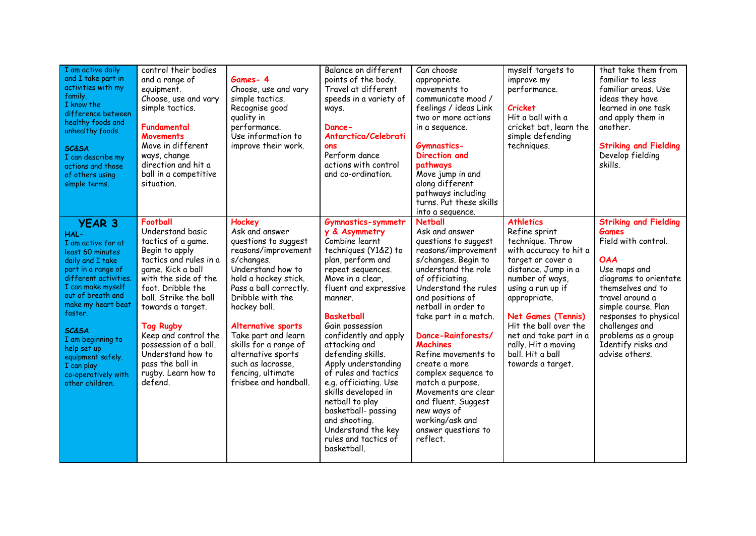| I am active daily<br>and I take part in<br>activities with my<br>family.<br>I know the<br>difference between<br>healthy foods and<br>unhealthy foods.<br><b>SC&amp;SA</b><br>I can describe my<br>actions and those<br>of others using<br>simple terms.                                                                                            | control their bodies<br>and a range of<br>equipment.<br>Choose, use and vary<br>simple tactics.<br>Fundamental<br><b>Movements</b><br>Move in different<br>ways, change<br>direction and hit a<br>ball in a competitive<br>situation.                                                                                                                                 | Games-4<br>Choose, use and vary<br>simple tactics.<br>Recognise good<br>quality in<br>performance.<br>Use information to<br>improve their work.                                                                                                                                                                                                                        | Balance on different<br>points of the body.<br>Travel at different<br>speeds in a variety of<br>ways.<br>Dance-<br>Antarctica/Celebrati<br>ons<br>Perform dance<br>actions with control<br>and co-ordination.                                                                                                                                                                                                                                                                                                 | Can choose<br>appropriate<br>movements to<br>communicate mood /<br>feelings / ideas Link<br>two or more actions<br>in a sequence.<br><b>Gymnastics-</b><br>Direction and<br>pathways<br>Move jump in and<br>along different<br>pathways including<br>turns. Put these skills<br>into a sequence.                                                                                                                                                                                            | myself targets to<br>improve my<br>performance.<br><b>Cricket</b><br>Hit a ball with a<br>cricket bat, learn the<br>simple defending<br>techniques.                                                                                                                                                                                 | that take them from<br>familiar to less<br>familiar areas. Use<br>ideas they have<br>learned in one task<br>and apply them in<br>another.<br><b>Striking and Fielding</b><br>Develop fielding<br>skills.                                                                                            |
|----------------------------------------------------------------------------------------------------------------------------------------------------------------------------------------------------------------------------------------------------------------------------------------------------------------------------------------------------|-----------------------------------------------------------------------------------------------------------------------------------------------------------------------------------------------------------------------------------------------------------------------------------------------------------------------------------------------------------------------|------------------------------------------------------------------------------------------------------------------------------------------------------------------------------------------------------------------------------------------------------------------------------------------------------------------------------------------------------------------------|---------------------------------------------------------------------------------------------------------------------------------------------------------------------------------------------------------------------------------------------------------------------------------------------------------------------------------------------------------------------------------------------------------------------------------------------------------------------------------------------------------------|---------------------------------------------------------------------------------------------------------------------------------------------------------------------------------------------------------------------------------------------------------------------------------------------------------------------------------------------------------------------------------------------------------------------------------------------------------------------------------------------|-------------------------------------------------------------------------------------------------------------------------------------------------------------------------------------------------------------------------------------------------------------------------------------------------------------------------------------|-----------------------------------------------------------------------------------------------------------------------------------------------------------------------------------------------------------------------------------------------------------------------------------------------------|
| <b>YEAR 3</b><br>HAL-<br>I am active for at<br>least 60 minutes<br>daily and I take<br>part in a range of<br>different activities.<br>I can make myself<br>out of breath and<br>make my heart beat<br>faster.<br><b>SC&amp;SA</b><br>I am beginning to<br>help set up<br>equipment safely.<br>I can play<br>co-operatively with<br>other children. | <b>Football</b><br>Understand basic<br>tactics of a game.<br>Begin to apply<br>tactics and rules in a<br>game. Kick a ball<br>with the side of the<br>foot. Dribble the<br>ball. Strike the ball<br>towards a target.<br><b>Tag Rugby</b><br>Keep and control the<br>possession of a ball.<br>Understand how to<br>pass the ball in<br>rugby. Learn how to<br>defend. | <b>Hockey</b><br>Ask and answer<br>questions to suggest<br>reasons/improvement<br>s/changes.<br>Understand how to<br>hold a hockey stick.<br>Pass a ball correctly.<br>Dribble with the<br>hockey ball.<br>Alternative sports<br>Take part and learn<br>skills for a range of<br>alternative sports<br>such as lacrosse,<br>fencing, ultimate<br>frisbee and handball. | Gymnastics-symmetr<br>y & Asymmetry<br>Combine learnt<br>techniques (Y1&2) to<br>plan, perform and<br>repeat sequences.<br>Move in a clear,<br>fluent and expressive<br>manner.<br><b>Basketball</b><br>Gain possession<br>confidently and apply<br>attacking and<br>defending skills.<br>Apply understanding<br>of rules and tactics<br>e.g. officiating. Use<br>skills developed in<br>netball to play<br>basketball- passing<br>and shooting.<br>Understand the key<br>rules and tactics of<br>basketball. | <b>Netball</b><br>Ask and answer<br>questions to suggest<br>reasons/improvement<br>s/changes. Begin to<br>understand the role<br>of officiating.<br>Understand the rules<br>and positions of<br>netball in order to<br>take part in a match.<br>Dance-Rainforests/<br><b>Machines</b><br>Refine movements to<br>create a more<br>complex sequence to<br>match a purpose.<br>Movements are clear<br>and fluent. Suggest<br>new ways of<br>working/ask and<br>answer questions to<br>reflect. | <b>Athletics</b><br>Refine sprint<br>technique. Throw<br>with accuracy to hit a<br>target or cover a<br>distance. Jump in a<br>number of ways,<br>using a run up if<br>appropriate.<br><b>Net Games (Tennis)</b><br>Hit the ball over the<br>net and take part in a<br>rally. Hit a moving<br>ball. Hit a ball<br>towards a target. | <b>Striking and Fielding</b><br><b>Games</b><br>Field with control.<br><b>OAA</b><br>Use maps and<br>diagrams to orientate<br>themselves and to<br>travel around a<br>simple course. Plan<br>responses to physical<br>challenges and<br>problems as a group<br>Identify risks and<br>advise others. |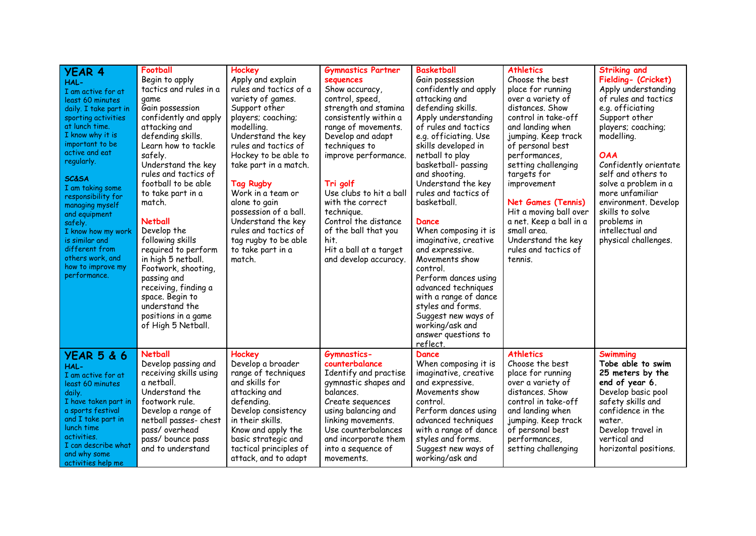| <b>YEAR 4</b>                             | Football                             | Hockey                            | <b>Gymnastics Partner</b>               | <b>Basketball</b>                | <b>Athletics</b>                        | <b>Striking and</b>                    |
|-------------------------------------------|--------------------------------------|-----------------------------------|-----------------------------------------|----------------------------------|-----------------------------------------|----------------------------------------|
| HAL-                                      | Begin to apply                       | Apply and explain                 | sequences                               | Gain possession                  | Choose the best                         | Fielding- (Cricket)                    |
| I am active for at                        | tactics and rules in a               | rules and tactics of a            | Show accuracy,                          | confidently and apply            | place for running                       | Apply understanding                    |
| least 60 minutes                          | game                                 | variety of games.                 | control, speed,                         | attacking and                    | over a variety of                       | of rules and tactics                   |
| daily. I take part in                     | Gain possession                      | Support other                     | strength and stamina                    | defending skills.                | distances. Show                         | e.g. officiating                       |
| sporting activities                       | confidently and apply                | players; coaching;                | consistently within a                   | Apply understanding              | control in take-off                     | Support other                          |
| at lunch time.                            | attacking and                        | modelling.                        | range of movements.                     | of rules and tactics             | and landing when                        | players; coaching;                     |
| I know why it is                          | defending skills.                    | Understand the key                | Develop and adapt                       | e.g. officiating. Use            | jumping. Keep track                     | modelling.                             |
| important to be                           | Learn how to tackle                  | rules and tactics of              | techniques to                           | skills developed in              | of personal best                        |                                        |
| active and eat                            | safely.                              | Hockey to be able to              | improve performance.                    | netball to play                  | performances,                           | <b>OAA</b>                             |
| regularly.                                | Understand the key                   | take part in a match.             |                                         | basketball- passing              | setting challenging                     | Confidently orientate                  |
| <b>SC&amp;SA</b>                          | rules and tactics of                 |                                   |                                         | and shooting.                    | targets for                             | self and others to                     |
| I am taking some                          | football to be able                  | <b>Tag Rugby</b>                  | Tri golf                                | Understand the key               | improvement                             | solve a problem in a                   |
| responsibility for                        | to take part in a                    | Work in a team or                 | Use clubs to hit a ball                 | rules and tactics of             |                                         | more unfamiliar                        |
| managing myself                           | match.                               | alone to gain                     | with the correct                        | basketball.                      | <b>Net Games (Tennis)</b>               | environment. Develop                   |
| and equipment                             |                                      | possession of a ball.             | technique.                              |                                  | Hit a moving ball over                  | skills to solve                        |
| safely.                                   | <b>Netball</b>                       | Understand the key                | Control the distance                    | Dance                            | a net. Keep a ball in a                 | problems in                            |
| I know how my work                        | Develop the                          | rules and tactics of              | of the ball that you                    | When composing it is             | small area.                             | intellectual and                       |
| is similar and                            | following skills                     | tag rugby to be able              | hit.                                    | imaginative, creative            | Understand the key                      | physical challenges.                   |
| different from                            | required to perform                  | to take part in a                 | Hit a ball at a target                  | and expressive.                  | rules and tactics of                    |                                        |
| others work, and                          | in high 5 netball.                   | match.                            | and develop accuracy.                   | Movements show                   | tennis.                                 |                                        |
| how to improve my                         | Footwork, shooting,                  |                                   |                                         | control.                         |                                         |                                        |
| performance.                              | passing and                          |                                   |                                         | Perform dances using             |                                         |                                        |
|                                           | receiving, finding a                 |                                   |                                         | advanced techniques              |                                         |                                        |
|                                           | space. Begin to                      |                                   |                                         | with a range of dance            |                                         |                                        |
|                                           | understand the                       |                                   |                                         | styles and forms.                |                                         |                                        |
|                                           | positions in a game                  |                                   |                                         | Suggest new ways of              |                                         |                                        |
|                                           | of High 5 Netball.                   |                                   |                                         | working/ask and                  |                                         |                                        |
|                                           |                                      |                                   |                                         | answer questions to              |                                         |                                        |
|                                           |                                      |                                   |                                         | reflect.                         |                                         |                                        |
| <b>YEAR 5 &amp; 6</b>                     | <b>Netball</b>                       | Hockey                            | <b>Gymnastics-</b>                      | <b>Dance</b>                     | <b>Athletics</b>                        | <b>Swimming</b>                        |
| HAL-                                      | Develop passing and                  | Develop a broader                 | counterbalance                          | When composing it is             | Choose the best                         | Tobe able to swim                      |
| I am active for at                        | receiving skills using               | range of techniques               | Identify and practise                   | imaginative, creative            | place for running                       | 25 meters by the                       |
| least 60 minutes                          | a netball.                           | and skills for                    | gymnastic shapes and                    | and expressive.                  | over a variety of                       | end of year 6.                         |
| daily.                                    | Understand the                       | attacking and                     | balances.                               | Movements show                   | distances. Show                         | Develop basic pool                     |
| I have taken part in<br>a sports festival | footwork rule.<br>Develop a range of | defending.<br>Develop consistency | Create sequences<br>using balancing and | control.<br>Perform dances using | control in take-off<br>and landing when | safety skills and<br>confidence in the |
| and I take part in                        | netball passes- chest                | in their skills.                  | linking movements.                      | advanced techniques              | jumping. Keep track                     | water.                                 |
| lunch time                                | pass/overhead                        | Know and apply the                | Use counterbalances                     | with a range of dance            | of personal best                        | Develop travel in                      |
| activities.                               | pass/ bounce pass                    | basic strategic and               | and incorporate them                    | styles and forms.                | performances,                           | vertical and                           |
| I can describe what                       | and to understand                    | tactical principles of            | into a sequence of                      | Suggest new ways of              | setting challenging                     | horizontal positions.                  |
| and why some                              |                                      | attack, and to adapt              | movements.                              | working/ask and                  |                                         |                                        |
| activities help me                        |                                      |                                   |                                         |                                  |                                         |                                        |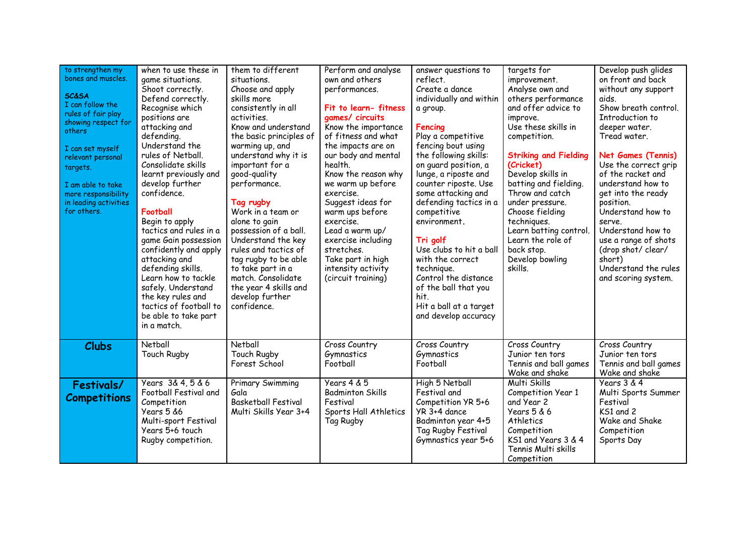| to strengthen my<br>bones and muscles.<br><b>SC&amp;SA</b><br>I can follow the<br>rules of fair play<br>showing respect for<br>others<br>I can set myself<br>relevant personal<br>targets.<br>I am able to take<br>more responsibility<br>in leading activities<br>for others. | when to use these in<br>game situations.<br>Shoot correctly.<br>Defend correctly.<br>Recognise which<br>positions are<br>attacking and<br>defending.<br>Understand the<br>rules of Netball.<br>Consolidate skills<br>learnt previously and<br>develop further<br>confidence.<br>Football<br>Begin to apply<br>tactics and rules in a<br>game Gain possession<br>confidently and apply<br>attacking and<br>defending skills.<br>Learn how to tackle<br>safely. Understand<br>the key rules and<br>tactics of football to<br>be able to take part<br>in a match. | them to different<br>situations.<br>Choose and apply<br>skills more<br>consistently in all<br>activities.<br>Know and understand<br>the basic principles of<br>warming up, and<br>understand why it is<br>important for a<br>good-quality<br>performance.<br>Tag rugby<br>Work in a team or<br>alone to gain<br>possession of a ball.<br>Understand the key<br>rules and tactics of<br>tag rugby to be able<br>to take part in a<br>match. Consolidate<br>the year 4 skills and<br>develop further<br>confidence. | Perform and analyse<br>own and others<br>performances.<br>Fit to learn-fitness<br>games/ circuits<br>Know the importance<br>of fitness and what<br>the impacts are on<br>our body and mental<br>health.<br>Know the reason why<br>we warm up before<br>exercise.<br>Suggest ideas for<br>warm ups before<br>exercise.<br>Lead a warm up/<br>exercise including<br>stretches.<br>Take part in high<br>intensity activity<br>(circuit training) | answer questions to<br>reflect.<br>Create a dance<br>individually and within<br>a group.<br>Fencing<br>Play a competitive<br>fencing bout using<br>the following skills:<br>on quard position, a<br>lunge, a riposte and<br>counter riposte. Use<br>some attacking and<br>defending tactics in a<br>competitive<br>environment.<br>Tri golf<br>Use clubs to hit a ball<br>with the correct<br>technique.<br>Control the distance<br>of the ball that you<br>hit.<br>Hit a ball at a target<br>and develop accuracy | targets for<br>improvement.<br>Analyse own and<br>others performance<br>and offer advice to<br>improve.<br>Use these skills in<br>competition.<br><b>Striking and Fielding</b><br>(Cricket)<br>Develop skills in<br>batting and fielding.<br>Throw and catch<br>under pressure.<br>Choose fielding<br>techniques.<br>Learn batting control.<br>Learn the role of<br>back stop.<br>Develop bowling<br>skills. | Develop push glides<br>on front and back<br>without any support<br>aids.<br>Show breath control.<br>Introduction to<br>deeper water.<br>Tread water.<br><b>Net Games (Tennis)</b><br>Use the correct grip<br>of the racket and<br>understand how to<br>get into the ready<br>position.<br>Understand how to<br>serve.<br>Understand how to<br>use a range of shots<br>(drop shot/ clear/<br>short)<br>Understand the rules<br>and scoring system. |
|--------------------------------------------------------------------------------------------------------------------------------------------------------------------------------------------------------------------------------------------------------------------------------|----------------------------------------------------------------------------------------------------------------------------------------------------------------------------------------------------------------------------------------------------------------------------------------------------------------------------------------------------------------------------------------------------------------------------------------------------------------------------------------------------------------------------------------------------------------|-------------------------------------------------------------------------------------------------------------------------------------------------------------------------------------------------------------------------------------------------------------------------------------------------------------------------------------------------------------------------------------------------------------------------------------------------------------------------------------------------------------------|-----------------------------------------------------------------------------------------------------------------------------------------------------------------------------------------------------------------------------------------------------------------------------------------------------------------------------------------------------------------------------------------------------------------------------------------------|--------------------------------------------------------------------------------------------------------------------------------------------------------------------------------------------------------------------------------------------------------------------------------------------------------------------------------------------------------------------------------------------------------------------------------------------------------------------------------------------------------------------|--------------------------------------------------------------------------------------------------------------------------------------------------------------------------------------------------------------------------------------------------------------------------------------------------------------------------------------------------------------------------------------------------------------|---------------------------------------------------------------------------------------------------------------------------------------------------------------------------------------------------------------------------------------------------------------------------------------------------------------------------------------------------------------------------------------------------------------------------------------------------|
| <b>Clubs</b>                                                                                                                                                                                                                                                                   | Netball<br>Touch Rugby                                                                                                                                                                                                                                                                                                                                                                                                                                                                                                                                         | Netball<br>Touch Rugby<br>Forest School                                                                                                                                                                                                                                                                                                                                                                                                                                                                           | Cross Country<br>Gymnastics<br>Football                                                                                                                                                                                                                                                                                                                                                                                                       | Cross Country<br>Gymnastics<br>Football                                                                                                                                                                                                                                                                                                                                                                                                                                                                            | Cross Country<br>Junior ten tors<br>Tennis and ball games<br>Wake and shake                                                                                                                                                                                                                                                                                                                                  | Cross Country<br>Junior ten tors<br>Tennis and ball games<br>Wake and shake                                                                                                                                                                                                                                                                                                                                                                       |
| Festivals/<br><b>Competitions</b>                                                                                                                                                                                                                                              | Years 3& 4, 5 & 6<br>Football Festival and<br>Competition<br>Years 5 &6<br>Multi-sport Festival<br>Years 5+6 touch<br>Rugby competition.                                                                                                                                                                                                                                                                                                                                                                                                                       | Primary Swimming<br>Gala<br><b>Basketball Festival</b><br>Multi Skills Year 3+4                                                                                                                                                                                                                                                                                                                                                                                                                                   | Years 4 & 5<br><b>Badminton Skills</b><br>Festival<br>Sports Hall Athletics<br>Tag Rugby                                                                                                                                                                                                                                                                                                                                                      | High 5 Netball<br>Festival and<br>Competition YR 5+6<br>YR 3+4 dance<br>Badminton year 4+5<br>Tag Rugby Festival<br>Gymnastics year 5+6                                                                                                                                                                                                                                                                                                                                                                            | Multi Skills<br>Competition Year 1<br>and Year 2<br>Years 5 & 6<br>Athletics<br>Competition<br>KS1 and Years 3 & 4<br>Tennis Multi skills<br>Competition                                                                                                                                                                                                                                                     | Years 3 & 4<br>Multi Sports Summer<br>Festival<br>KS1 and 2<br>Wake and Shake<br>Competition<br>Sports Day                                                                                                                                                                                                                                                                                                                                        |